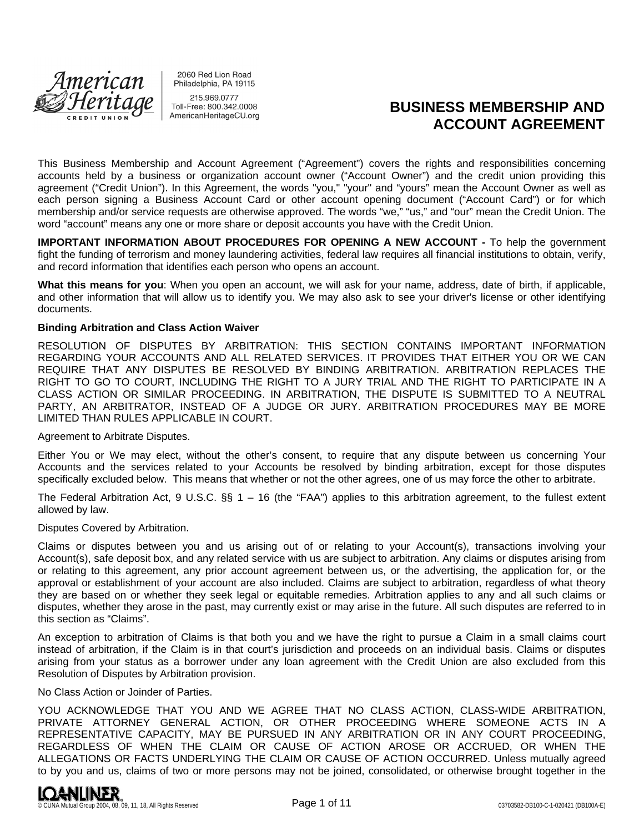

2060 Red Lion Road Philadelphia, PA 19115 215.969.0777

Toll-Free: 800.342.0008 AmericanHeritageCU.org

# **BUSINESS MEMBERSHIP AND ACCOUNT AGREEMENT**

This Business Membership and Account Agreement ("Agreement") covers the rights and responsibilities concerning accounts held by a business or organization account owner ("Account Owner") and the credit union providing this agreement ("Credit Union"). In this Agreement, the words "you," "your" and "yours" mean the Account Owner as well as each person signing a Business Account Card or other account opening document ("Account Card") or for which membership and/or service requests are otherwise approved. The words "we," "us," and "our" mean the Credit Union. The word "account" means any one or more share or deposit accounts you have with the Credit Union.

**IMPORTANT INFORMATION ABOUT PROCEDURES FOR OPENING A NEW ACCOUNT -** To help the government fight the funding of terrorism and money laundering activities, federal law requires all financial institutions to obtain, verify, and record information that identifies each person who opens an account.

**What this means for you**: When you open an account, we will ask for your name, address, date of birth, if applicable, and other information that will allow us to identify you. We may also ask to see your driver's license or other identifying documents.

## **Binding Arbitration and Class Action Waiver**

RESOLUTION OF DISPUTES BY ARBITRATION: THIS SECTION CONTAINS IMPORTANT INFORMATION REGARDING YOUR ACCOUNTS AND ALL RELATED SERVICES. IT PROVIDES THAT EITHER YOU OR WE CAN REQUIRE THAT ANY DISPUTES BE RESOLVED BY BINDING ARBITRATION. ARBITRATION REPLACES THE RIGHT TO GO TO COURT, INCLUDING THE RIGHT TO A JURY TRIAL AND THE RIGHT TO PARTICIPATE IN A CLASS ACTION OR SIMILAR PROCEEDING. IN ARBITRATION, THE DISPUTE IS SUBMITTED TO A NEUTRAL PARTY, AN ARBITRATOR, INSTEAD OF A JUDGE OR JURY. ARBITRATION PROCEDURES MAY BE MORE LIMITED THAN RULES APPLICABLE IN COURT.

Agreement to Arbitrate Disputes.

Either You or We may elect, without the other's consent, to require that any dispute between us concerning Your Accounts and the services related to your Accounts be resolved by binding arbitration, except for those disputes specifically excluded below. This means that whether or not the other agrees, one of us may force the other to arbitrate.

The Federal Arbitration Act, 9 U.S.C. §§ 1 – 16 (the "FAA") applies to this arbitration agreement, to the fullest extent allowed by law.

#### Disputes Covered by Arbitration.

Claims or disputes between you and us arising out of or relating to your Account(s), transactions involving your Account(s), safe deposit box, and any related service with us are subject to arbitration. Any claims or disputes arising from or relating to this agreement, any prior account agreement between us, or the advertising, the application for, or the approval or establishment of your account are also included. Claims are subject to arbitration, regardless of what theory they are based on or whether they seek legal or equitable remedies. Arbitration applies to any and all such claims or disputes, whether they arose in the past, may currently exist or may arise in the future. All such disputes are referred to in this section as "Claims".

An exception to arbitration of Claims is that both you and we have the right to pursue a Claim in a small claims court instead of arbitration, if the Claim is in that court's jurisdiction and proceeds on an individual basis. Claims or disputes arising from your status as a borrower under any loan agreement with the Credit Union are also excluded from this Resolution of Disputes by Arbitration provision.

#### No Class Action or Joinder of Parties.

YOU ACKNOWLEDGE THAT YOU AND WE AGREE THAT NO CLASS ACTION, CLASS-WIDE ARBITRATION, PRIVATE ATTORNEY GENERAL ACTION, OR OTHER PROCEEDING WHERE SOMEONE ACTS IN A REPRESENTATIVE CAPACITY, MAY BE PURSUED IN ANY ARBITRATION OR IN ANY COURT PROCEEDING, REGARDLESS OF WHEN THE CLAIM OR CAUSE OF ACTION AROSE OR ACCRUED, OR WHEN THE ALLEGATIONS OR FACTS UNDERLYING THE CLAIM OR CAUSE OF ACTION OCCURRED. Unless mutually agreed to by you and us, claims of two or more persons may not be joined, consolidated, or otherwise brought together in the

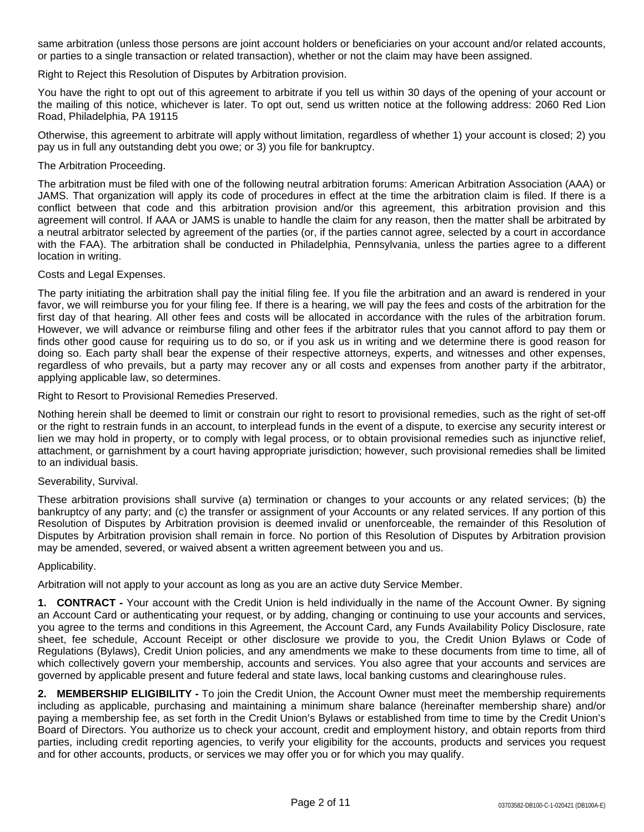same arbitration (unless those persons are joint account holders or beneficiaries on your account and/or related accounts, or parties to a single transaction or related transaction), whether or not the claim may have been assigned.

Right to Reject this Resolution of Disputes by Arbitration provision.

You have the right to opt out of this agreement to arbitrate if you tell us within 30 days of the opening of your account or the mailing of this notice, whichever is later. To opt out, send us written notice at the following address: 2060 Red Lion Road, Philadelphia, PA 19115

Otherwise, this agreement to arbitrate will apply without limitation, regardless of whether 1) your account is closed; 2) you pay us in full any outstanding debt you owe; or 3) you file for bankruptcy.

## The Arbitration Proceeding.

The arbitration must be filed with one of the following neutral arbitration forums: American Arbitration Association (AAA) or JAMS. That organization will apply its code of procedures in effect at the time the arbitration claim is filed. If there is a conflict between that code and this arbitration provision and/or this agreement, this arbitration provision and this agreement will control. If AAA or JAMS is unable to handle the claim for any reason, then the matter shall be arbitrated by a neutral arbitrator selected by agreement of the parties (or, if the parties cannot agree, selected by a court in accordance with the FAA). The arbitration shall be conducted in Philadelphia, Pennsylvania, unless the parties agree to a different location in writing.

#### Costs and Legal Expenses.

The party initiating the arbitration shall pay the initial filing fee. If you file the arbitration and an award is rendered in your favor, we will reimburse you for your filing fee. If there is a hearing, we will pay the fees and costs of the arbitration for the first day of that hearing. All other fees and costs will be allocated in accordance with the rules of the arbitration forum. However, we will advance or reimburse filing and other fees if the arbitrator rules that you cannot afford to pay them or finds other good cause for requiring us to do so, or if you ask us in writing and we determine there is good reason for doing so. Each party shall bear the expense of their respective attorneys, experts, and witnesses and other expenses, regardless of who prevails, but a party may recover any or all costs and expenses from another party if the arbitrator, applying applicable law, so determines.

Right to Resort to Provisional Remedies Preserved.

Nothing herein shall be deemed to limit or constrain our right to resort to provisional remedies, such as the right of set-off or the right to restrain funds in an account, to interplead funds in the event of a dispute, to exercise any security interest or lien we may hold in property, or to comply with legal process, or to obtain provisional remedies such as injunctive relief, attachment, or garnishment by a court having appropriate jurisdiction; however, such provisional remedies shall be limited to an individual basis.

## Severability, Survival.

These arbitration provisions shall survive (a) termination or changes to your accounts or any related services; (b) the bankruptcy of any party; and (c) the transfer or assignment of your Accounts or any related services. If any portion of this Resolution of Disputes by Arbitration provision is deemed invalid or unenforceable, the remainder of this Resolution of Disputes by Arbitration provision shall remain in force. No portion of this Resolution of Disputes by Arbitration provision may be amended, severed, or waived absent a written agreement between you and us.

## Applicability.

Arbitration will not apply to your account as long as you are an active duty Service Member.

**1. CONTRACT -** Your account with the Credit Union is held individually in the name of the Account Owner. By signing an Account Card or authenticating your request, or by adding, changing or continuing to use your accounts and services, you agree to the terms and conditions in this Agreement, the Account Card, any Funds Availability Policy Disclosure, rate sheet, fee schedule, Account Receipt or other disclosure we provide to you, the Credit Union Bylaws or Code of Regulations (Bylaws), Credit Union policies, and any amendments we make to these documents from time to time, all of which collectively govern your membership, accounts and services. You also agree that your accounts and services are governed by applicable present and future federal and state laws, local banking customs and clearinghouse rules.

**2. MEMBERSHIP ELIGIBILITY -** To join the Credit Union, the Account Owner must meet the membership requirements including as applicable, purchasing and maintaining a minimum share balance (hereinafter membership share) and/or paying a membership fee, as set forth in the Credit Union's Bylaws or established from time to time by the Credit Union's Board of Directors. You authorize us to check your account, credit and employment history, and obtain reports from third parties, including credit reporting agencies, to verify your eligibility for the accounts, products and services you request and for other accounts, products, or services we may offer you or for which you may qualify.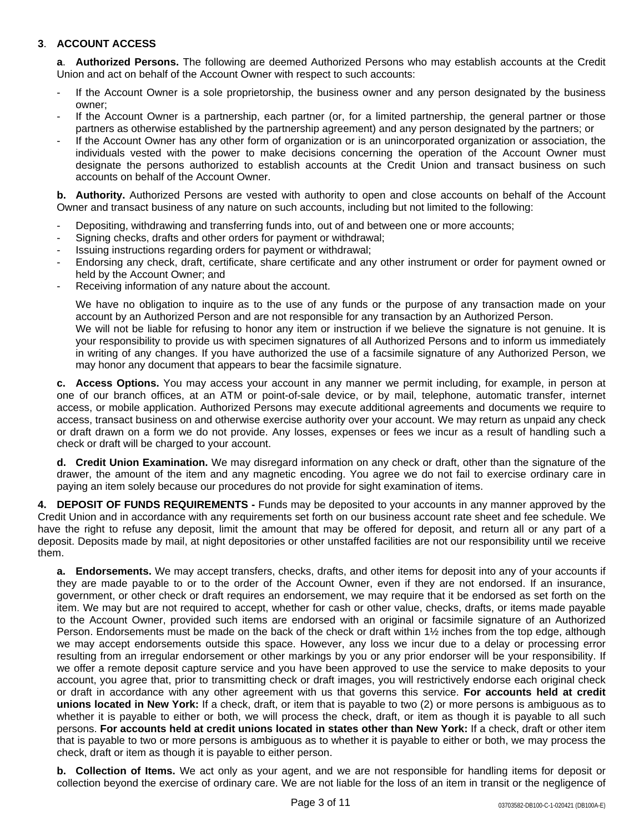# **3**. **ACCOUNT ACCESS**

**a**. **Authorized Persons.** The following are deemed Authorized Persons who may establish accounts at the Credit Union and act on behalf of the Account Owner with respect to such accounts:

- If the Account Owner is a sole proprietorship, the business owner and any person designated by the business owner;
- If the Account Owner is a partnership, each partner (or, for a limited partnership, the general partner or those partners as otherwise established by the partnership agreement) and any person designated by the partners; or
- If the Account Owner has any other form of organization or is an unincorporated organization or association, the individuals vested with the power to make decisions concerning the operation of the Account Owner must designate the persons authorized to establish accounts at the Credit Union and transact business on such accounts on behalf of the Account Owner.

**b. Authority.** Authorized Persons are vested with authority to open and close accounts on behalf of the Account Owner and transact business of any nature on such accounts, including but not limited to the following:

- Depositing, withdrawing and transferring funds into, out of and between one or more accounts;
- Signing checks, drafts and other orders for payment or withdrawal;
- Issuing instructions regarding orders for payment or withdrawal;
- Endorsing any check, draft, certificate, share certificate and any other instrument or order for payment owned or held by the Account Owner; and
- Receiving information of any nature about the account.

We have no obligation to inquire as to the use of any funds or the purpose of any transaction made on your account by an Authorized Person and are not responsible for any transaction by an Authorized Person. We will not be liable for refusing to honor any item or instruction if we believe the signature is not genuine. It is your responsibility to provide us with specimen signatures of all Authorized Persons and to inform us immediately in writing of any changes. If you have authorized the use of a facsimile signature of any Authorized Person, we may honor any document that appears to bear the facsimile signature.

**c. Access Options.** You may access your account in any manner we permit including, for example, in person at one of our branch offices, at an ATM or point-of-sale device, or by mail, telephone, automatic transfer, internet access, or mobile application. Authorized Persons may execute additional agreements and documents we require to access, transact business on and otherwise exercise authority over your account. We may return as unpaid any check or draft drawn on a form we do not provide. Any losses, expenses or fees we incur as a result of handling such a check or draft will be charged to your account.

**d. Credit Union Examination.** We may disregard information on any check or draft, other than the signature of the drawer, the amount of the item and any magnetic encoding. You agree we do not fail to exercise ordinary care in paying an item solely because our procedures do not provide for sight examination of items.

**4. DEPOSIT OF FUNDS REQUIREMENTS -** Funds may be deposited to your accounts in any manner approved by the Credit Union and in accordance with any requirements set forth on our business account rate sheet and fee schedule. We have the right to refuse any deposit, limit the amount that may be offered for deposit, and return all or any part of a deposit. Deposits made by mail, at night depositories or other unstaffed facilities are not our responsibility until we receive them.

**a. Endorsements.** We may accept transfers, checks, drafts, and other items for deposit into any of your accounts if they are made payable to or to the order of the Account Owner, even if they are not endorsed. If an insurance, government, or other check or draft requires an endorsement, we may require that it be endorsed as set forth on the item. We may but are not required to accept, whether for cash or other value, checks, drafts, or items made payable to the Account Owner, provided such items are endorsed with an original or facsimile signature of an Authorized Person. Endorsements must be made on the back of the check or draft within 1½ inches from the top edge, although we may accept endorsements outside this space. However, any loss we incur due to a delay or processing error resulting from an irregular endorsement or other markings by you or any prior endorser will be your responsibility. If we offer a remote deposit capture service and you have been approved to use the service to make deposits to your account, you agree that, prior to transmitting check or draft images, you will restrictively endorse each original check or draft in accordance with any other agreement with us that governs this service. **For accounts held at credit unions located in New York:** If a check, draft, or item that is payable to two (2) or more persons is ambiguous as to whether it is payable to either or both, we will process the check, draft, or item as though it is payable to all such persons. **For accounts held at credit unions located in states other than New York:** If a check, draft or other item that is payable to two or more persons is ambiguous as to whether it is payable to either or both, we may process the check, draft or item as though it is payable to either person.

**b. Collection of Items.** We act only as your agent, and we are not responsible for handling items for deposit or collection beyond the exercise of ordinary care. We are not liable for the loss of an item in transit or the negligence of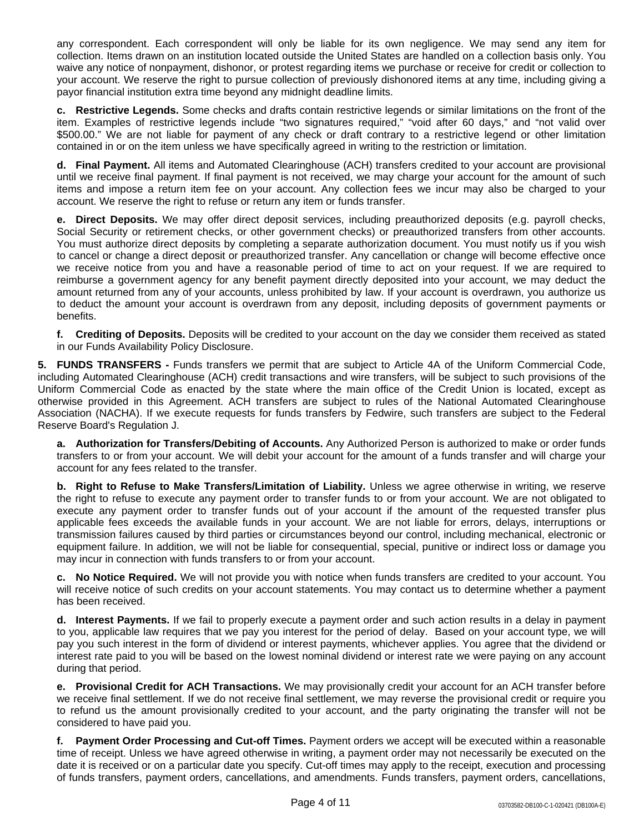any correspondent. Each correspondent will only be liable for its own negligence. We may send any item for collection. Items drawn on an institution located outside the United States are handled on a collection basis only. You waive any notice of nonpayment, dishonor, or protest regarding items we purchase or receive for credit or collection to your account. We reserve the right to pursue collection of previously dishonored items at any time, including giving a payor financial institution extra time beyond any midnight deadline limits.

**c. Restrictive Legends.** Some checks and drafts contain restrictive legends or similar limitations on the front of the item. Examples of restrictive legends include "two signatures required," "void after 60 days," and "not valid over \$500.00." We are not liable for payment of any check or draft contrary to a restrictive legend or other limitation contained in or on the item unless we have specifically agreed in writing to the restriction or limitation.

**d. Final Payment.** All items and Automated Clearinghouse (ACH) transfers credited to your account are provisional until we receive final payment. If final payment is not received, we may charge your account for the amount of such items and impose a return item fee on your account. Any collection fees we incur may also be charged to your account. We reserve the right to refuse or return any item or funds transfer.

**e. Direct Deposits.** We may offer direct deposit services, including preauthorized deposits (e.g. payroll checks, Social Security or retirement checks, or other government checks) or preauthorized transfers from other accounts. You must authorize direct deposits by completing a separate authorization document. You must notify us if you wish to cancel or change a direct deposit or preauthorized transfer. Any cancellation or change will become effective once we receive notice from you and have a reasonable period of time to act on your request. If we are required to reimburse a government agency for any benefit payment directly deposited into your account, we may deduct the amount returned from any of your accounts, unless prohibited by law. If your account is overdrawn, you authorize us to deduct the amount your account is overdrawn from any deposit, including deposits of government payments or benefits.

**f. Crediting of Deposits.** Deposits will be credited to your account on the day we consider them received as stated in our Funds Availability Policy Disclosure.

**5. FUNDS TRANSFERS -** Funds transfers we permit that are subject to Article 4A of the Uniform Commercial Code, including Automated Clearinghouse (ACH) credit transactions and wire transfers, will be subject to such provisions of the Uniform Commercial Code as enacted by the state where the main office of the Credit Union is located, except as otherwise provided in this Agreement. ACH transfers are subject to rules of the National Automated Clearinghouse Association (NACHA). If we execute requests for funds transfers by Fedwire, such transfers are subject to the Federal Reserve Board's Regulation J.

**a. Authorization for Transfers/Debiting of Accounts.** Any Authorized Person is authorized to make or order funds transfers to or from your account. We will debit your account for the amount of a funds transfer and will charge your account for any fees related to the transfer.

**b. Right to Refuse to Make Transfers/Limitation of Liability.** Unless we agree otherwise in writing, we reserve the right to refuse to execute any payment order to transfer funds to or from your account. We are not obligated to execute any payment order to transfer funds out of your account if the amount of the requested transfer plus applicable fees exceeds the available funds in your account. We are not liable for errors, delays, interruptions or transmission failures caused by third parties or circumstances beyond our control, including mechanical, electronic or equipment failure. In addition, we will not be liable for consequential, special, punitive or indirect loss or damage you may incur in connection with funds transfers to or from your account.

**c. No Notice Required.** We will not provide you with notice when funds transfers are credited to your account. You will receive notice of such credits on your account statements. You may contact us to determine whether a payment has been received.

**d. Interest Payments.** If we fail to properly execute a payment order and such action results in a delay in payment to you, applicable law requires that we pay you interest for the period of delay. Based on your account type, we will pay you such interest in the form of dividend or interest payments, whichever applies. You agree that the dividend or interest rate paid to you will be based on the lowest nominal dividend or interest rate we were paying on any account during that period.

**e. Provisional Credit for ACH Transactions.** We may provisionally credit your account for an ACH transfer before we receive final settlement. If we do not receive final settlement, we may reverse the provisional credit or require you to refund us the amount provisionally credited to your account, and the party originating the transfer will not be considered to have paid you.

**f. Payment Order Processing and Cut-off Times.** Payment orders we accept will be executed within a reasonable time of receipt. Unless we have agreed otherwise in writing, a payment order may not necessarily be executed on the date it is received or on a particular date you specify. Cut-off times may apply to the receipt, execution and processing of funds transfers, payment orders, cancellations, and amendments. Funds transfers, payment orders, cancellations,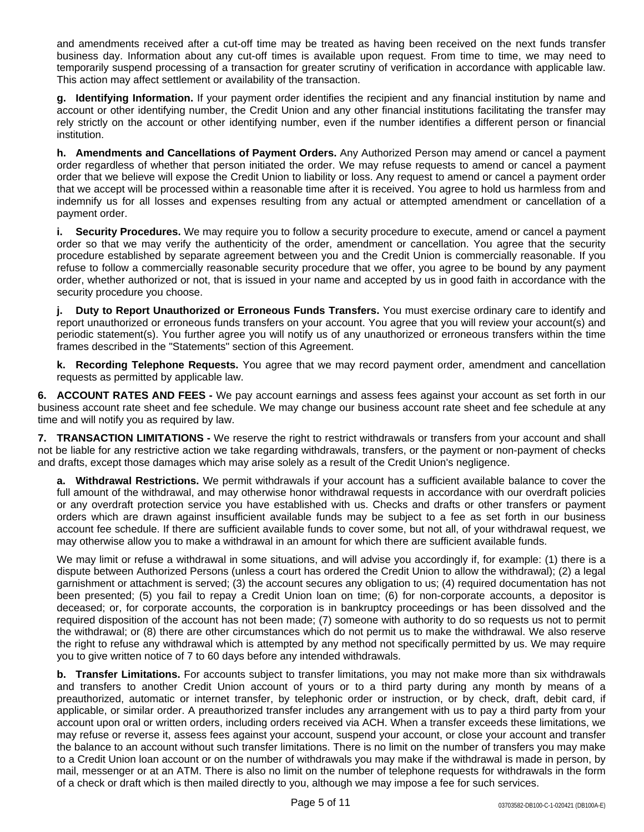and amendments received after a cut-off time may be treated as having been received on the next funds transfer business day. Information about any cut-off times is available upon request. From time to time, we may need to temporarily suspend processing of a transaction for greater scrutiny of verification in accordance with applicable law. This action may affect settlement or availability of the transaction.

**g. Identifying Information.** If your payment order identifies the recipient and any financial institution by name and account or other identifying number, the Credit Union and any other financial institutions facilitating the transfer may rely strictly on the account or other identifying number, even if the number identifies a different person or financial institution.

**h. Amendments and Cancellations of Payment Orders.** Any Authorized Person may amend or cancel a payment order regardless of whether that person initiated the order. We may refuse requests to amend or cancel a payment order that we believe will expose the Credit Union to liability or loss. Any request to amend or cancel a payment order that we accept will be processed within a reasonable time after it is received. You agree to hold us harmless from and indemnify us for all losses and expenses resulting from any actual or attempted amendment or cancellation of a payment order.

**i. Security Procedures.** We may require you to follow a security procedure to execute, amend or cancel a payment order so that we may verify the authenticity of the order, amendment or cancellation. You agree that the security procedure established by separate agreement between you and the Credit Union is commercially reasonable. If you refuse to follow a commercially reasonable security procedure that we offer, you agree to be bound by any payment order, whether authorized or not, that is issued in your name and accepted by us in good faith in accordance with the security procedure you choose.

**j. Duty to Report Unauthorized or Erroneous Funds Transfers.** You must exercise ordinary care to identify and report unauthorized or erroneous funds transfers on your account. You agree that you will review your account(s) and periodic statement(s). You further agree you will notify us of any unauthorized or erroneous transfers within the time frames described in the "Statements" section of this Agreement.

**k. Recording Telephone Requests.** You agree that we may record payment order, amendment and cancellation requests as permitted by applicable law.

**6. ACCOUNT RATES AND FEES -** We pay account earnings and assess fees against your account as set forth in our business account rate sheet and fee schedule. We may change our business account rate sheet and fee schedule at any time and will notify you as required by law.

**7. TRANSACTION LIMITATIONS -** We reserve the right to restrict withdrawals or transfers from your account and shall not be liable for any restrictive action we take regarding withdrawals, transfers, or the payment or non-payment of checks and drafts, except those damages which may arise solely as a result of the Credit Union's negligence.

**a. Withdrawal Restrictions.** We permit withdrawals if your account has a sufficient available balance to cover the full amount of the withdrawal, and may otherwise honor withdrawal requests in accordance with our overdraft policies or any overdraft protection service you have established with us. Checks and drafts or other transfers or payment orders which are drawn against insufficient available funds may be subject to a fee as set forth in our business account fee schedule. If there are sufficient available funds to cover some, but not all, of your withdrawal request, we may otherwise allow you to make a withdrawal in an amount for which there are sufficient available funds.

We may limit or refuse a withdrawal in some situations, and will advise you accordingly if, for example: (1) there is a dispute between Authorized Persons (unless a court has ordered the Credit Union to allow the withdrawal); (2) a legal garnishment or attachment is served; (3) the account secures any obligation to us; (4) required documentation has not been presented; (5) you fail to repay a Credit Union loan on time; (6) for non-corporate accounts, a depositor is deceased; or, for corporate accounts, the corporation is in bankruptcy proceedings or has been dissolved and the required disposition of the account has not been made; (7) someone with authority to do so requests us not to permit the withdrawal; or (8) there are other circumstances which do not permit us to make the withdrawal. We also reserve the right to refuse any withdrawal which is attempted by any method not specifically permitted by us. We may require you to give written notice of 7 to 60 days before any intended withdrawals.

**b. Transfer Limitations.** For accounts subject to transfer limitations, you may not make more than six withdrawals and transfers to another Credit Union account of yours or to a third party during any month by means of a preauthorized, automatic or internet transfer, by telephonic order or instruction, or by check, draft, debit card, if applicable, or similar order. A preauthorized transfer includes any arrangement with us to pay a third party from your account upon oral or written orders, including orders received via ACH. When a transfer exceeds these limitations, we may refuse or reverse it, assess fees against your account, suspend your account, or close your account and transfer the balance to an account without such transfer limitations. There is no limit on the number of transfers you may make to a Credit Union loan account or on the number of withdrawals you may make if the withdrawal is made in person, by mail, messenger or at an ATM. There is also no limit on the number of telephone requests for withdrawals in the form of a check or draft which is then mailed directly to you, although we may impose a fee for such services.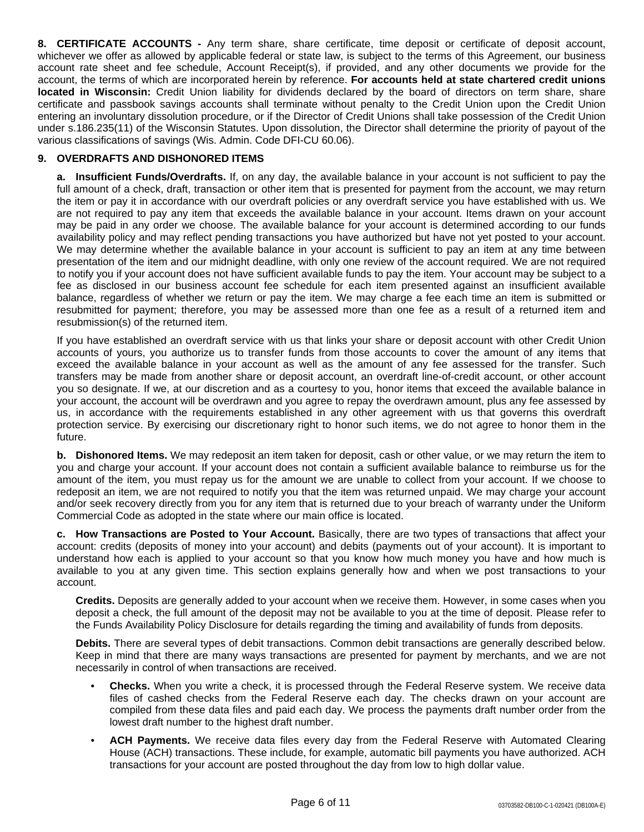**8. CERTIFICATE ACCOUNTS -** Any term share, share certificate, time deposit or certificate of deposit account, whichever we offer as allowed by applicable federal or state law, is subject to the terms of this Agreement, our business account rate sheet and fee schedule, Account Receipt(s), if provided, and any other documents we provide for the account, the terms of which are incorporated herein by reference. **For accounts held at state chartered credit unions located in Wisconsin:** Credit Union liability for dividends declared by the board of directors on term share, share certificate and passbook savings accounts shall terminate without penalty to the Credit Union upon the Credit Union entering an involuntary dissolution procedure, or if the Director of Credit Unions shall take possession of the Credit Union under s.186.235(11) of the Wisconsin Statutes. Upon dissolution, the Director shall determine the priority of payout of the various classifications of savings (Wis. Admin. Code DFI-CU 60.06).

# **9. OVERDRAFTS AND DISHONORED ITEMS**

**a. Insufficient Funds/Overdrafts.** If, on any day, the available balance in your account is not sufficient to pay the full amount of a check, draft, transaction or other item that is presented for payment from the account, we may return the item or pay it in accordance with our overdraft policies or any overdraft service you have established with us. We are not required to pay any item that exceeds the available balance in your account. Items drawn on your account may be paid in any order we choose. The available balance for your account is determined according to our funds availability policy and may reflect pending transactions you have authorized but have not yet posted to your account. We may determine whether the available balance in your account is sufficient to pay an item at any time between presentation of the item and our midnight deadline, with only one review of the account required. We are not required to notify you if your account does not have sufficient available funds to pay the item. Your account may be subject to a fee as disclosed in our business account fee schedule for each item presented against an insufficient available balance, regardless of whether we return or pay the item. We may charge a fee each time an item is submitted or resubmitted for payment; therefore, you may be assessed more than one fee as a result of a returned item and resubmission(s) of the returned item.

If you have established an overdraft service with us that links your share or deposit account with other Credit Union accounts of yours, you authorize us to transfer funds from those accounts to cover the amount of any items that exceed the available balance in your account as well as the amount of any fee assessed for the transfer. Such transfers may be made from another share or deposit account, an overdraft line-of-credit account, or other account you so designate. If we, at our discretion and as a courtesy to you, honor items that exceed the available balance in your account, the account will be overdrawn and you agree to repay the overdrawn amount, plus any fee assessed by us, in accordance with the requirements established in any other agreement with us that governs this overdraft protection service. By exercising our discretionary right to honor such items, we do not agree to honor them in the future.

**b. Dishonored Items.** We may redeposit an item taken for deposit, cash or other value, or we may return the item to you and charge your account. If your account does not contain a sufficient available balance to reimburse us for the amount of the item, you must repay us for the amount we are unable to collect from your account. If we choose to redeposit an item, we are not required to notify you that the item was returned unpaid. We may charge your account and/or seek recovery directly from you for any item that is returned due to your breach of warranty under the Uniform Commercial Code as adopted in the state where our main office is located.

**c. How Transactions are Posted to Your Account.** Basically, there are two types of transactions that affect your account: credits (deposits of money into your account) and debits (payments out of your account). It is important to understand how each is applied to your account so that you know how much money you have and how much is available to you at any given time. This section explains generally how and when we post transactions to your account.

**Credits.** Deposits are generally added to your account when we receive them. However, in some cases when you deposit a check, the full amount of the deposit may not be available to you at the time of deposit. Please refer to the Funds Availability Policy Disclosure for details regarding the timing and availability of funds from deposits.

**Debits.** There are several types of debit transactions. Common debit transactions are generally described below. Keep in mind that there are many ways transactions are presented for payment by merchants, and we are not necessarily in control of when transactions are received.

- **Checks.** When you write a check, it is processed through the Federal Reserve system. We receive data files of cashed checks from the Federal Reserve each day. The checks drawn on your account are compiled from these data files and paid each day. We process the payments draft number order from the lowest draft number to the highest draft number.
- **ACH Payments.** We receive data files every day from the Federal Reserve with Automated Clearing House (ACH) transactions. These include, for example, automatic bill payments you have authorized. ACH transactions for your account are posted throughout the day from low to high dollar value.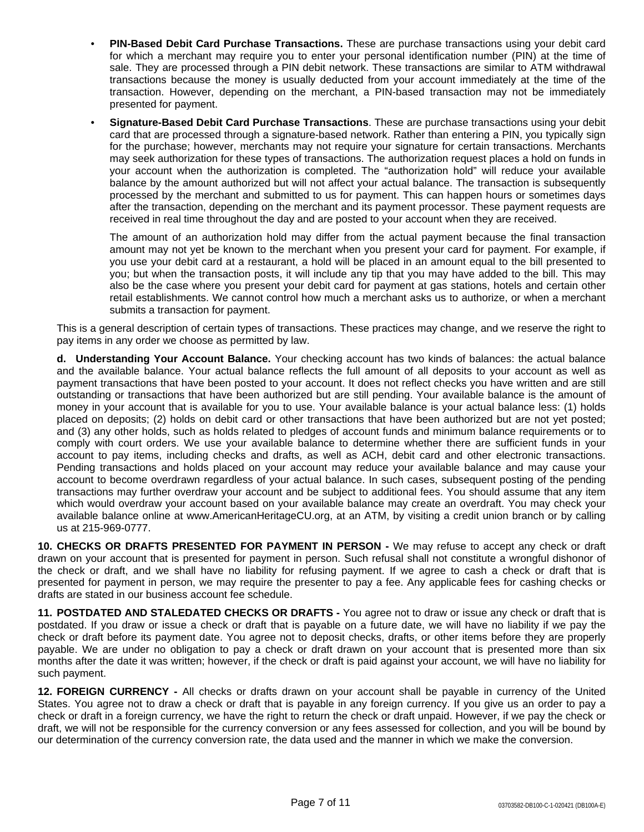- **PIN-Based Debit Card Purchase Transactions.** These are purchase transactions using your debit card for which a merchant may require you to enter your personal identification number (PIN) at the time of sale. They are processed through a PIN debit network. These transactions are similar to ATM withdrawal transactions because the money is usually deducted from your account immediately at the time of the transaction. However, depending on the merchant, a PIN-based transaction may not be immediately presented for payment.
- **Signature-Based Debit Card Purchase Transactions**. These are purchase transactions using your debit card that are processed through a signature-based network. Rather than entering a PIN, you typically sign for the purchase; however, merchants may not require your signature for certain transactions. Merchants may seek authorization for these types of transactions. The authorization request places a hold on funds in your account when the authorization is completed. The "authorization hold" will reduce your available balance by the amount authorized but will not affect your actual balance. The transaction is subsequently processed by the merchant and submitted to us for payment. This can happen hours or sometimes days after the transaction, depending on the merchant and its payment processor. These payment requests are received in real time throughout the day and are posted to your account when they are received.

The amount of an authorization hold may differ from the actual payment because the final transaction amount may not yet be known to the merchant when you present your card for payment. For example, if you use your debit card at a restaurant, a hold will be placed in an amount equal to the bill presented to you; but when the transaction posts, it will include any tip that you may have added to the bill. This may also be the case where you present your debit card for payment at gas stations, hotels and certain other retail establishments. We cannot control how much a merchant asks us to authorize, or when a merchant submits a transaction for payment.

This is a general description of certain types of transactions. These practices may change, and we reserve the right to pay items in any order we choose as permitted by law.

**d. Understanding Your Account Balance.** Your checking account has two kinds of balances: the actual balance and the available balance. Your actual balance reflects the full amount of all deposits to your account as well as payment transactions that have been posted to your account. It does not reflect checks you have written and are still outstanding or transactions that have been authorized but are still pending. Your available balance is the amount of money in your account that is available for you to use. Your available balance is your actual balance less: (1) holds placed on deposits; (2) holds on debit card or other transactions that have been authorized but are not yet posted; and (3) any other holds, such as holds related to pledges of account funds and minimum balance requirements or to comply with court orders. We use your available balance to determine whether there are sufficient funds in your account to pay items, including checks and drafts, as well as ACH, debit card and other electronic transactions. Pending transactions and holds placed on your account may reduce your available balance and may cause your account to become overdrawn regardless of your actual balance. In such cases, subsequent posting of the pending transactions may further overdraw your account and be subject to additional fees. You should assume that any item which would overdraw your account based on your available balance may create an overdraft. You may check your available balance online at www.AmericanHeritageCU.org, at an ATM, by visiting a credit union branch or by calling us at 215-969-0777.

**10. CHECKS OR DRAFTS PRESENTED FOR PAYMENT IN PERSON -** We may refuse to accept any check or draft drawn on your account that is presented for payment in person. Such refusal shall not constitute a wrongful dishonor of the check or draft, and we shall have no liability for refusing payment. If we agree to cash a check or draft that is presented for payment in person, we may require the presenter to pay a fee. Any applicable fees for cashing checks or drafts are stated in our business account fee schedule.

**11. POSTDATED AND STALEDATED CHECKS OR DRAFTS -** You agree not to draw or issue any check or draft that is postdated. If you draw or issue a check or draft that is payable on a future date, we will have no liability if we pay the check or draft before its payment date. You agree not to deposit checks, drafts, or other items before they are properly payable. We are under no obligation to pay a check or draft drawn on your account that is presented more than six months after the date it was written; however, if the check or draft is paid against your account, we will have no liability for such payment.

**12. FOREIGN CURRENCY -** All checks or drafts drawn on your account shall be payable in currency of the United States. You agree not to draw a check or draft that is payable in any foreign currency. If you give us an order to pay a check or draft in a foreign currency, we have the right to return the check or draft unpaid. However, if we pay the check or draft, we will not be responsible for the currency conversion or any fees assessed for collection, and you will be bound by our determination of the currency conversion rate, the data used and the manner in which we make the conversion.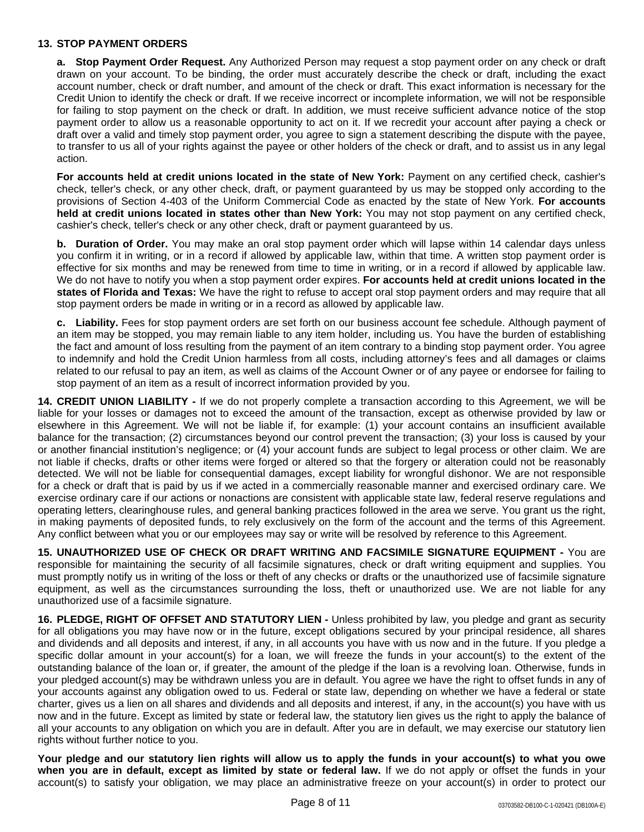## **13. STOP PAYMENT ORDERS**

**a. Stop Payment Order Request.** Any Authorized Person may request a stop payment order on any check or draft drawn on your account. To be binding, the order must accurately describe the check or draft, including the exact account number, check or draft number, and amount of the check or draft. This exact information is necessary for the Credit Union to identify the check or draft. If we receive incorrect or incomplete information, we will not be responsible for failing to stop payment on the check or draft. In addition, we must receive sufficient advance notice of the stop payment order to allow us a reasonable opportunity to act on it. If we recredit your account after paying a check or draft over a valid and timely stop payment order, you agree to sign a statement describing the dispute with the payee, to transfer to us all of your rights against the payee or other holders of the check or draft, and to assist us in any legal action.

**For accounts held at credit unions located in the state of New York:** Payment on any certified check, cashier's check, teller's check, or any other check, draft, or payment guaranteed by us may be stopped only according to the provisions of Section 4-403 of the Uniform Commercial Code as enacted by the state of New York. **For accounts held at credit unions located in states other than New York:** You may not stop payment on any certified check, cashier's check, teller's check or any other check, draft or payment guaranteed by us.

**b. Duration of Order.** You may make an oral stop payment order which will lapse within 14 calendar days unless you confirm it in writing, or in a record if allowed by applicable law, within that time. A written stop payment order is effective for six months and may be renewed from time to time in writing, or in a record if allowed by applicable law. We do not have to notify you when a stop payment order expires. **For accounts held at credit unions located in the states of Florida and Texas:** We have the right to refuse to accept oral stop payment orders and may require that all stop payment orders be made in writing or in a record as allowed by applicable law.

**c. Liability.** Fees for stop payment orders are set forth on our business account fee schedule. Although payment of an item may be stopped, you may remain liable to any item holder, including us. You have the burden of establishing the fact and amount of loss resulting from the payment of an item contrary to a binding stop payment order. You agree to indemnify and hold the Credit Union harmless from all costs, including attorney's fees and all damages or claims related to our refusal to pay an item, as well as claims of the Account Owner or of any payee or endorsee for failing to stop payment of an item as a result of incorrect information provided by you.

**14. CREDIT UNION LIABILITY -** If we do not properly complete a transaction according to this Agreement, we will be liable for your losses or damages not to exceed the amount of the transaction, except as otherwise provided by law or elsewhere in this Agreement. We will not be liable if, for example: (1) your account contains an insufficient available balance for the transaction; (2) circumstances beyond our control prevent the transaction; (3) your loss is caused by your or another financial institution's negligence; or (4) your account funds are subject to legal process or other claim. We are not liable if checks, drafts or other items were forged or altered so that the forgery or alteration could not be reasonably detected. We will not be liable for consequential damages, except liability for wrongful dishonor. We are not responsible for a check or draft that is paid by us if we acted in a commercially reasonable manner and exercised ordinary care. We exercise ordinary care if our actions or nonactions are consistent with applicable state law, federal reserve regulations and operating letters, clearinghouse rules, and general banking practices followed in the area we serve. You grant us the right, in making payments of deposited funds, to rely exclusively on the form of the account and the terms of this Agreement. Any conflict between what you or our employees may say or write will be resolved by reference to this Agreement.

**15. UNAUTHORIZED USE OF CHECK OR DRAFT WRITING AND FACSIMILE SIGNATURE EQUIPMENT -** You are responsible for maintaining the security of all facsimile signatures, check or draft writing equipment and supplies. You must promptly notify us in writing of the loss or theft of any checks or drafts or the unauthorized use of facsimile signature equipment, as well as the circumstances surrounding the loss, theft or unauthorized use. We are not liable for any unauthorized use of a facsimile signature.

**16. PLEDGE, RIGHT OF OFFSET AND STATUTORY LIEN -** Unless prohibited by law, you pledge and grant as security for all obligations you may have now or in the future, except obligations secured by your principal residence, all shares and dividends and all deposits and interest, if any, in all accounts you have with us now and in the future. If you pledge a specific dollar amount in your account(s) for a loan, we will freeze the funds in your account(s) to the extent of the outstanding balance of the loan or, if greater, the amount of the pledge if the loan is a revolving loan. Otherwise, funds in your pledged account(s) may be withdrawn unless you are in default. You agree we have the right to offset funds in any of your accounts against any obligation owed to us. Federal or state law, depending on whether we have a federal or state charter, gives us a lien on all shares and dividends and all deposits and interest, if any, in the account(s) you have with us now and in the future. Except as limited by state or federal law, the statutory lien gives us the right to apply the balance of all your accounts to any obligation on which you are in default. After you are in default, we may exercise our statutory lien rights without further notice to you.

Your pledge and our statutory lien rights will allow us to apply the funds in your account(s) to what you owe **when you are in default, except as limited by state or federal law.** If we do not apply or offset the funds in your account(s) to satisfy your obligation, we may place an administrative freeze on your account(s) in order to protect our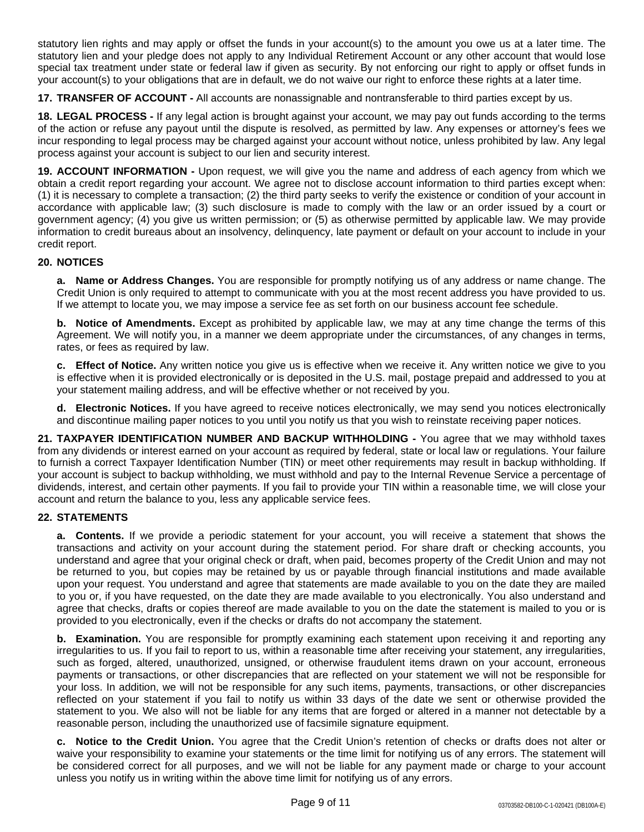statutory lien rights and may apply or offset the funds in your account(s) to the amount you owe us at a later time. The statutory lien and your pledge does not apply to any Individual Retirement Account or any other account that would lose special tax treatment under state or federal law if given as security. By not enforcing our right to apply or offset funds in your account(s) to your obligations that are in default, we do not waive our right to enforce these rights at a later time.

**17. TRANSFER OF ACCOUNT -** All accounts are nonassignable and nontransferable to third parties except by us.

**18. LEGAL PROCESS -** If any legal action is brought against your account, we may pay out funds according to the terms of the action or refuse any payout until the dispute is resolved, as permitted by law. Any expenses or attorney's fees we incur responding to legal process may be charged against your account without notice, unless prohibited by law. Any legal process against your account is subject to our lien and security interest.

**19. ACCOUNT INFORMATION -** Upon request, we will give you the name and address of each agency from which we obtain a credit report regarding your account. We agree not to disclose account information to third parties except when: (1) it is necessary to complete a transaction; (2) the third party seeks to verify the existence or condition of your account in accordance with applicable law; (3) such disclosure is made to comply with the law or an order issued by a court or government agency; (4) you give us written permission; or (5) as otherwise permitted by applicable law. We may provide information to credit bureaus about an insolvency, delinquency, late payment or default on your account to include in your credit report.

# **20. NOTICES**

**a. Name or Address Changes.** You are responsible for promptly notifying us of any address or name change. The Credit Union is only required to attempt to communicate with you at the most recent address you have provided to us. If we attempt to locate you, we may impose a service fee as set forth on our business account fee schedule.

**b. Notice of Amendments.** Except as prohibited by applicable law, we may at any time change the terms of this Agreement. We will notify you, in a manner we deem appropriate under the circumstances, of any changes in terms, rates, or fees as required by law.

**c. Effect of Notice.** Any written notice you give us is effective when we receive it. Any written notice we give to you is effective when it is provided electronically or is deposited in the U.S. mail, postage prepaid and addressed to you at your statement mailing address, and will be effective whether or not received by you.

**d. Electronic Notices.** If you have agreed to receive notices electronically, we may send you notices electronically and discontinue mailing paper notices to you until you notify us that you wish to reinstate receiving paper notices.

**21. TAXPAYER IDENTIFICATION NUMBER AND BACKUP WITHHOLDING -** You agree that we may withhold taxes from any dividends or interest earned on your account as required by federal, state or local law or regulations. Your failure to furnish a correct Taxpayer Identification Number (TIN) or meet other requirements may result in backup withholding. If your account is subject to backup withholding, we must withhold and pay to the Internal Revenue Service a percentage of dividends, interest, and certain other payments. If you fail to provide your TIN within a reasonable time, we will close your account and return the balance to you, less any applicable service fees.

## **22. STATEMENTS**

**a. Contents.** If we provide a periodic statement for your account, you will receive a statement that shows the transactions and activity on your account during the statement period. For share draft or checking accounts, you understand and agree that your original check or draft, when paid, becomes property of the Credit Union and may not be returned to you, but copies may be retained by us or payable through financial institutions and made available upon your request. You understand and agree that statements are made available to you on the date they are mailed to you or, if you have requested, on the date they are made available to you electronically. You also understand and agree that checks, drafts or copies thereof are made available to you on the date the statement is mailed to you or is provided to you electronically, even if the checks or drafts do not accompany the statement.

**b. Examination.** You are responsible for promptly examining each statement upon receiving it and reporting any irregularities to us. If you fail to report to us, within a reasonable time after receiving your statement, any irregularities, such as forged, altered, unauthorized, unsigned, or otherwise fraudulent items drawn on your account, erroneous payments or transactions, or other discrepancies that are reflected on your statement we will not be responsible for your loss. In addition, we will not be responsible for any such items, payments, transactions, or other discrepancies reflected on your statement if you fail to notify us within 33 days of the date we sent or otherwise provided the statement to you. We also will not be liable for any items that are forged or altered in a manner not detectable by a reasonable person, including the unauthorized use of facsimile signature equipment.

**c. Notice to the Credit Union.** You agree that the Credit Union's retention of checks or drafts does not alter or waive your responsibility to examine your statements or the time limit for notifying us of any errors. The statement will be considered correct for all purposes, and we will not be liable for any payment made or charge to your account unless you notify us in writing within the above time limit for notifying us of any errors.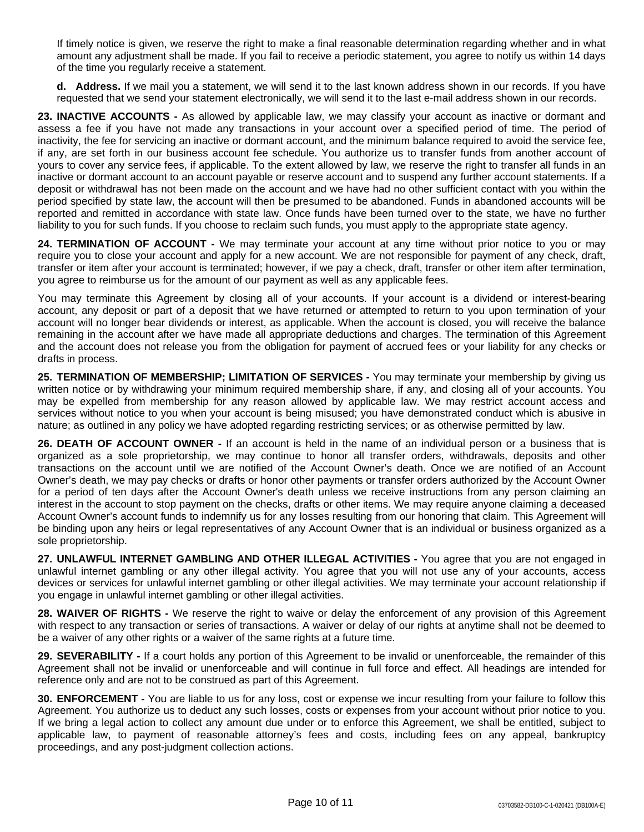If timely notice is given, we reserve the right to make a final reasonable determination regarding whether and in what amount any adjustment shall be made. If you fail to receive a periodic statement, you agree to notify us within 14 days of the time you regularly receive a statement.

**d. Address.** If we mail you a statement, we will send it to the last known address shown in our records. If you have requested that we send your statement electronically, we will send it to the last e-mail address shown in our records.

**23. INACTIVE ACCOUNTS -** As allowed by applicable law, we may classify your account as inactive or dormant and assess a fee if you have not made any transactions in your account over a specified period of time. The period of inactivity, the fee for servicing an inactive or dormant account, and the minimum balance required to avoid the service fee, if any, are set forth in our business account fee schedule. You authorize us to transfer funds from another account of yours to cover any service fees, if applicable. To the extent allowed by law, we reserve the right to transfer all funds in an inactive or dormant account to an account payable or reserve account and to suspend any further account statements. If a deposit or withdrawal has not been made on the account and we have had no other sufficient contact with you within the period specified by state law, the account will then be presumed to be abandoned. Funds in abandoned accounts will be reported and remitted in accordance with state law. Once funds have been turned over to the state, we have no further liability to you for such funds. If you choose to reclaim such funds, you must apply to the appropriate state agency.

**24. TERMINATION OF ACCOUNT -** We may terminate your account at any time without prior notice to you or may require you to close your account and apply for a new account. We are not responsible for payment of any check, draft, transfer or item after your account is terminated; however, if we pay a check, draft, transfer or other item after termination, you agree to reimburse us for the amount of our payment as well as any applicable fees.

You may terminate this Agreement by closing all of your accounts. If your account is a dividend or interest-bearing account, any deposit or part of a deposit that we have returned or attempted to return to you upon termination of your account will no longer bear dividends or interest, as applicable. When the account is closed, you will receive the balance remaining in the account after we have made all appropriate deductions and charges. The termination of this Agreement and the account does not release you from the obligation for payment of accrued fees or your liability for any checks or drafts in process.

**25. TERMINATION OF MEMBERSHIP; LIMITATION OF SERVICES -** You may terminate your membership by giving us written notice or by withdrawing your minimum required membership share, if any, and closing all of your accounts. You may be expelled from membership for any reason allowed by applicable law. We may restrict account access and services without notice to you when your account is being misused; you have demonstrated conduct which is abusive in nature; as outlined in any policy we have adopted regarding restricting services; or as otherwise permitted by law.

**26. DEATH OF ACCOUNT OWNER -** If an account is held in the name of an individual person or a business that is organized as a sole proprietorship, we may continue to honor all transfer orders, withdrawals, deposits and other transactions on the account until we are notified of the Account Owner's death. Once we are notified of an Account Owner's death, we may pay checks or drafts or honor other payments or transfer orders authorized by the Account Owner for a period of ten days after the Account Owner's death unless we receive instructions from any person claiming an interest in the account to stop payment on the checks, drafts or other items. We may require anyone claiming a deceased Account Owner's account funds to indemnify us for any losses resulting from our honoring that claim. This Agreement will be binding upon any heirs or legal representatives of any Account Owner that is an individual or business organized as a sole proprietorship.

**27. UNLAWFUL INTERNET GAMBLING AND OTHER ILLEGAL ACTIVITIES -** You agree that you are not engaged in unlawful internet gambling or any other illegal activity. You agree that you will not use any of your accounts, access devices or services for unlawful internet gambling or other illegal activities. We may terminate your account relationship if you engage in unlawful internet gambling or other illegal activities.

**28. WAIVER OF RIGHTS -** We reserve the right to waive or delay the enforcement of any provision of this Agreement with respect to any transaction or series of transactions. A waiver or delay of our rights at anytime shall not be deemed to be a waiver of any other rights or a waiver of the same rights at a future time.

**29. SEVERABILITY -** If a court holds any portion of this Agreement to be invalid or unenforceable, the remainder of this Agreement shall not be invalid or unenforceable and will continue in full force and effect. All headings are intended for reference only and are not to be construed as part of this Agreement.

**30. ENFORCEMENT -** You are liable to us for any loss, cost or expense we incur resulting from your failure to follow this Agreement. You authorize us to deduct any such losses, costs or expenses from your account without prior notice to you. If we bring a legal action to collect any amount due under or to enforce this Agreement, we shall be entitled, subject to applicable law, to payment of reasonable attorney's fees and costs, including fees on any appeal, bankruptcy proceedings, and any post-judgment collection actions.